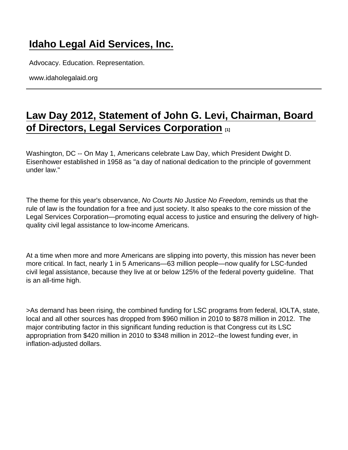## [Idaho Legal Aid Services, Inc.](https://www.idaholegalaid.org/)

Advocacy. Education. Representation.

www.idaholegalaid.org

## [Law Day 2012, Statement of John G. Levi, Chairman, Board](https://www.idaholegalaid.org/node/2253/law-day-2012-statement-john-g-levi-chairman-board-directors-legal-services-corporation)  [of Directors, Legal Services Corporation](https://www.idaholegalaid.org/node/2253/law-day-2012-statement-john-g-levi-chairman-board-directors-legal-services-corporation) [1]

Washington, DC -- On May 1, Americans celebrate Law Day, which President Dwight D. Eisenhower established in 1958 as "a day of national dedication to the principle of government under law."

The theme for this year's observance, No Courts No Justice No Freedom, reminds us that the rule of law is the foundation for a free and just society. It also speaks to the core mission of the Legal Services Corporation—promoting equal access to justice and ensuring the delivery of highquality civil legal assistance to low-income Americans.

At a time when more and more Americans are slipping into poverty, this mission has never been more critical. In fact, nearly 1 in 5 Americans—63 million people—now qualify for LSC-funded civil legal assistance, because they live at or below 125% of the federal poverty guideline. That is an all-time high.

>As demand has been rising, the combined funding for LSC programs from federal, IOLTA, state, local and all other sources has dropped from \$960 million in 2010 to \$878 million in 2012. The major contributing factor in this significant funding reduction is that Congress cut its LSC appropriation from \$420 million in 2010 to \$348 million in 2012--the lowest funding ever, in inflation-adjusted dollars.